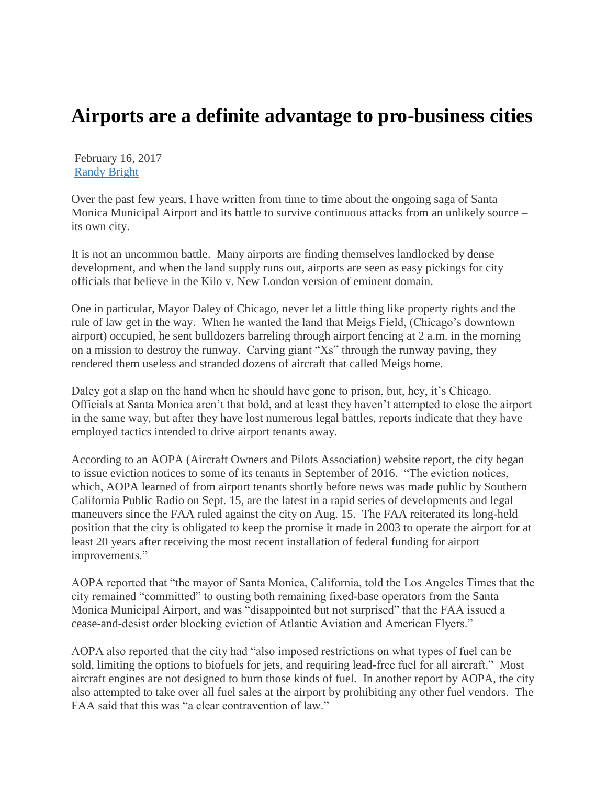## **Airports are a definite advantage to pro-business cities**

February 16, 2017 [Randy Bright](http://tulsabeacon.com/author/randy-bright/)

Over the past few years, I have written from time to time about the ongoing saga of Santa Monica Municipal Airport and its battle to survive continuous attacks from an unlikely source – its own city.

It is not an uncommon battle. Many airports are finding themselves landlocked by dense development, and when the land supply runs out, airports are seen as easy pickings for city officials that believe in the Kilo v. New London version of eminent domain.

One in particular, Mayor Daley of Chicago, never let a little thing like property rights and the rule of law get in the way. When he wanted the land that Meigs Field, (Chicago's downtown airport) occupied, he sent bulldozers barreling through airport fencing at 2 a.m. in the morning on a mission to destroy the runway. Carving giant "Xs" through the runway paving, they rendered them useless and stranded dozens of aircraft that called Meigs home.

Daley got a slap on the hand when he should have gone to prison, but, hey, it's Chicago. Officials at Santa Monica aren't that bold, and at least they haven't attempted to close the airport in the same way, but after they have lost numerous legal battles, reports indicate that they have employed tactics intended to drive airport tenants away.

According to an AOPA (Aircraft Owners and Pilots Association) website report, the city began to issue eviction notices to some of its tenants in September of 2016. "The eviction notices, which, AOPA learned of from airport tenants shortly before news was made public by Southern California Public Radio on Sept. 15, are the latest in a rapid series of developments and legal maneuvers since the FAA ruled against the city on Aug. 15. The FAA reiterated its long-held position that the city is obligated to keep the promise it made in 2003 to operate the airport for at least 20 years after receiving the most recent installation of federal funding for airport improvements."

AOPA reported that "the mayor of Santa Monica, California, told the Los Angeles Times that the city remained "committed" to ousting both remaining fixed-base operators from the Santa Monica Municipal Airport, and was "disappointed but not surprised" that the FAA issued a cease-and-desist order blocking eviction of Atlantic Aviation and American Flyers."

AOPA also reported that the city had "also imposed restrictions on what types of fuel can be sold, limiting the options to biofuels for jets, and requiring lead-free fuel for all aircraft." Most aircraft engines are not designed to burn those kinds of fuel. In another report by AOPA, the city also attempted to take over all fuel sales at the airport by prohibiting any other fuel vendors. The FAA said that this was "a clear contravention of law."